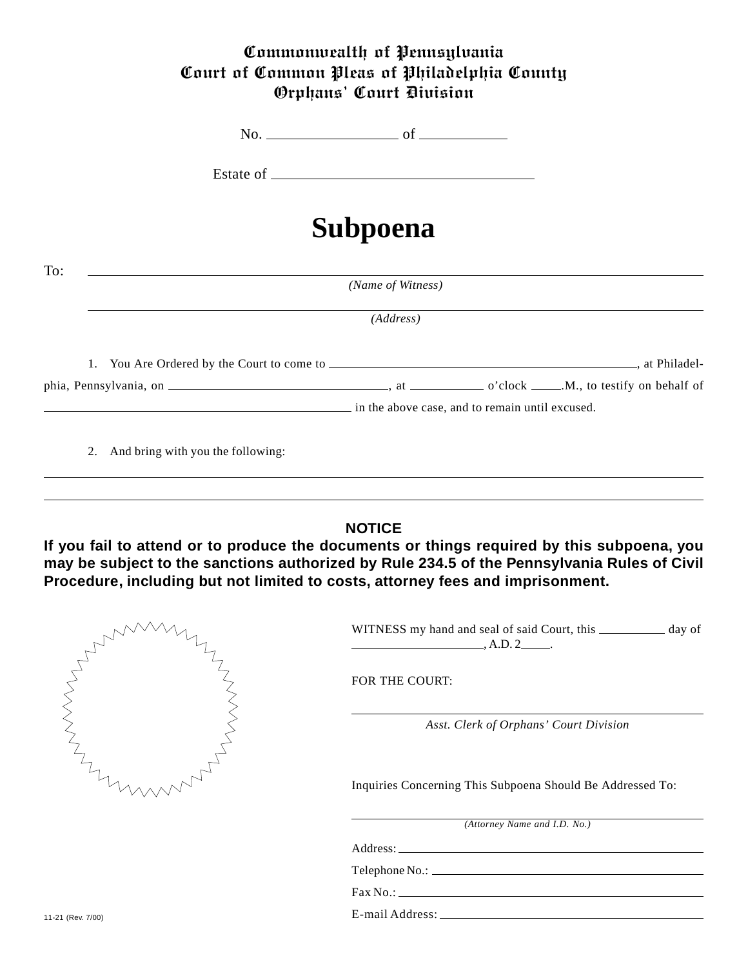## Commonwealth of Pennsylvania Court of Common Pleas of Philadelphia County Orphans' Court Division

No. of

Estate of

## **Subpoena**

| To:                                  | (Name of Witness) |                                                 |
|--------------------------------------|-------------------|-------------------------------------------------|
|                                      | (Address)         |                                                 |
|                                      |                   |                                                 |
|                                      |                   |                                                 |
|                                      |                   | in the above case, and to remain until excused. |
| 2. And bring with you the following: |                   |                                                 |

## **NOTICE**

**If you fail to attend or to produce the documents or things required by this subpoena, you may be subject to the sanctions authorized by Rule 234.5 of the Pennsylvania Rules of Civil Procedure, including but not limited to costs, attorney fees and imprisonment.**

|                   | WITNESS my hand and seal of said Court, this ______________ day of<br>$\overline{\phantom{a}}$ , A.D. 2 |
|-------------------|---------------------------------------------------------------------------------------------------------|
|                   | <b>FOR THE COURT:</b>                                                                                   |
|                   | Asst. Clerk of Orphans' Court Division                                                                  |
|                   | Inquiries Concerning This Subpoena Should Be Addressed To:                                              |
|                   | (Attorney Name and I.D. No.)                                                                            |
|                   |                                                                                                         |
|                   |                                                                                                         |
|                   |                                                                                                         |
| 11-21 (Rev. 7/00) |                                                                                                         |